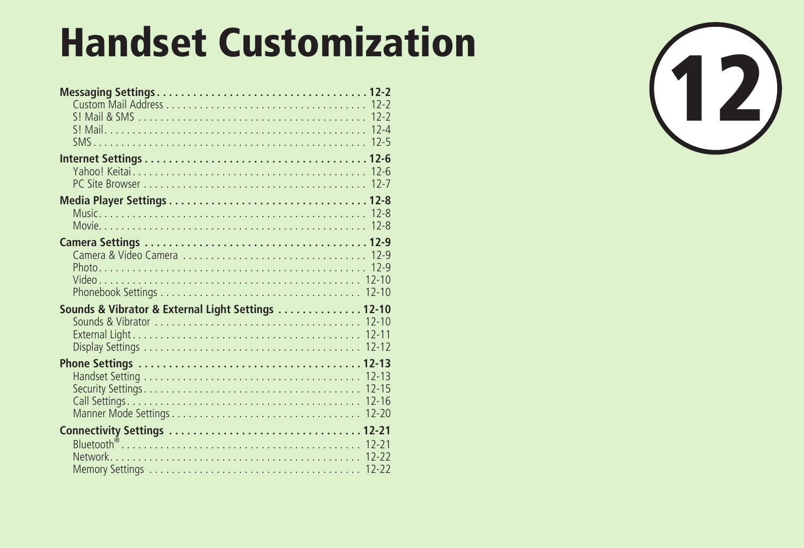| <b>Handset Customization</b>                       |  |
|----------------------------------------------------|--|
|                                                    |  |
|                                                    |  |
|                                                    |  |
|                                                    |  |
| Sounds & Vibrator & External Light Settings  12-10 |  |
|                                                    |  |
| <b>Network</b>                                     |  |

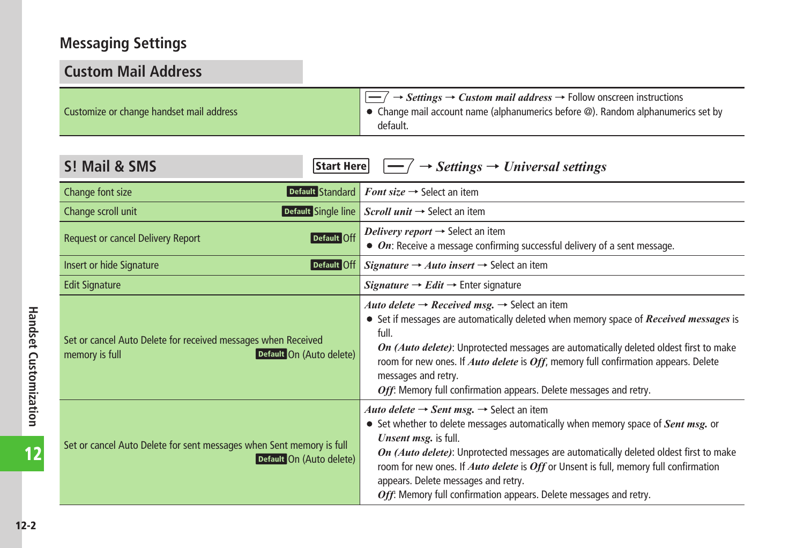# <span id="page-1-0"></span>**Messaging Settings**

| <b>Custom Mail Address</b>                                                                                  |                                                                                                                                                                                                                                                                                                                                                                                                                                                                                         |  |
|-------------------------------------------------------------------------------------------------------------|-----------------------------------------------------------------------------------------------------------------------------------------------------------------------------------------------------------------------------------------------------------------------------------------------------------------------------------------------------------------------------------------------------------------------------------------------------------------------------------------|--|
| Customize or change handset mail address                                                                    | $\overline{-/}$ $\rightarrow$ <i>Settings</i> $\rightarrow$ <i>Custom mail address</i> $\rightarrow$ Follow onscreen instructions<br>• Change mail account name (alphanumerics before @). Random alphanumerics set by<br>default.                                                                                                                                                                                                                                                       |  |
| S! Mail & SMS<br>Start Here                                                                                 | $\rightarrow$ Settings $\rightarrow$ Universal settings                                                                                                                                                                                                                                                                                                                                                                                                                                 |  |
| Default Standard<br>Change font size                                                                        | <b>Font size <math>\rightarrow</math> Select an item</b>                                                                                                                                                                                                                                                                                                                                                                                                                                |  |
| Change scroll unit                                                                                          | Default Single line Scroll unit $\rightarrow$ Select an item                                                                                                                                                                                                                                                                                                                                                                                                                            |  |
| Default Off<br><b>Request or cancel Delivery Report</b>                                                     | Delivery report $\rightarrow$ Select an item<br>$\bullet$ On: Receive a message confirming successful delivery of a sent message.                                                                                                                                                                                                                                                                                                                                                       |  |
| Default Off<br>Insert or hide Signature                                                                     | <i>Signature</i> $\rightarrow$ <i>Auto insert</i> $\rightarrow$ Select an item                                                                                                                                                                                                                                                                                                                                                                                                          |  |
| <b>Edit Signature</b>                                                                                       | <i>Signature</i> $\rightarrow$ <i>Edit</i> $\rightarrow$ Enter signature                                                                                                                                                                                                                                                                                                                                                                                                                |  |
| Set or cancel Auto Delete for received messages when Received<br>Default On (Auto delete)<br>memory is full | Auto delete $\rightarrow$ Received msg. $\rightarrow$ Select an item<br>• Set if messages are automatically deleted when memory space of <i>Received messages</i> is<br>full.<br>On (Auto delete): Unprotected messages are automatically deleted oldest first to make<br>room for new ones. If Auto delete is Off, memory full confirmation appears. Delete<br>messages and retry.<br>Off: Memory full confirmation appears. Delete messages and retry.                                |  |
| Set or cancel Auto Delete for sent messages when Sent memory is full<br>Default On (Auto delete)            | Auto delete $\rightarrow$ Sent msg. $\rightarrow$ Select an item<br>• Set whether to delete messages automatically when memory space of Sent msg. or<br>Unsent msg. is full.<br>On (Auto delete): Unprotected messages are automatically deleted oldest first to make<br>room for new ones. If <i>Auto delete</i> is <i>Off</i> or Unsent is full, memory full confirmation<br>appears. Delete messages and retry.<br>Off: Memory full confirmation appears. Delete messages and retry. |  |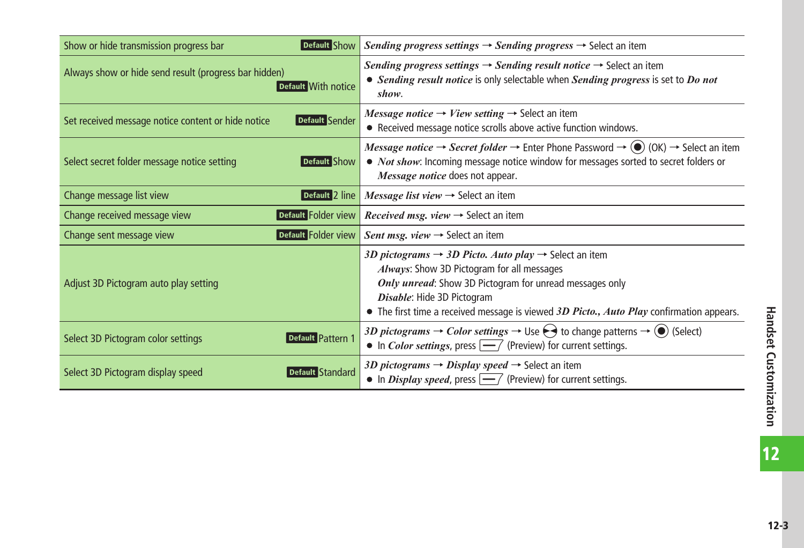| Default Show<br>Show or hide transmission progress bar                       | <i>Sending progress settings</i> $\rightarrow$ <i>Sending progress</i> $\rightarrow$ Select an item                                                                                                                                                                                                                            |  |
|------------------------------------------------------------------------------|--------------------------------------------------------------------------------------------------------------------------------------------------------------------------------------------------------------------------------------------------------------------------------------------------------------------------------|--|
| Always show or hide send result (progress bar hidden)<br>Default With notice | <i>Sending progress settings</i> $\rightarrow$ <i>Sending result notice</i> $\rightarrow$ Select an item<br>• Sending result notice is only selectable when Sending progress is set to Do not<br>show.                                                                                                                         |  |
| Default Sender<br>Set received message notice content or hide notice         | Message notice $\rightarrow$ View setting $\rightarrow$ Select an item<br>• Received message notice scrolls above active function windows.                                                                                                                                                                                     |  |
| Select secret folder message notice setting<br>Default Show                  | Message notice $\rightarrow$ Secret folder $\rightarrow$ Enter Phone Password $\rightarrow$ (OK) $\rightarrow$ Select an item<br>• <i>Not show</i> : Incoming message notice window for messages sorted to secret folders or<br>Message notice does not appear.                                                                |  |
| Change message list view<br>Default 2 line                                   | Message list view $\rightarrow$ Select an item                                                                                                                                                                                                                                                                                 |  |
| Default Folder view<br>Change received message view                          | <i>Received msg. view</i> $\rightarrow$ Select an item                                                                                                                                                                                                                                                                         |  |
| Default Folder view<br>Change sent message view                              | Sent msg. view $\rightarrow$ Select an item                                                                                                                                                                                                                                                                                    |  |
| Adjust 3D Pictogram auto play setting                                        | 3D pictograms $\rightarrow$ 3D Picto. Auto play $\rightarrow$ Select an item<br>Always: Show 3D Pictogram for all messages<br><b>Only unread:</b> Show 3D Pictogram for unread messages only<br>Disable: Hide 3D Pictogram<br>$\bullet$ The first time a received message is viewed 3D Picto., Auto Play confirmation appears. |  |
| <b>Default Pattern 1</b><br>Select 3D Pictogram color settings               | 3D pictograms $\rightarrow$ Color settings $\rightarrow$ Use $\leftrightarrow$ to change patterns $\rightarrow$ ( $\bullet$ ) (Select)<br>• In <i>Color settings</i> , press $\boxed{-}$ (Preview) for current settings.                                                                                                       |  |
| Default Standard<br>Select 3D Pictogram display speed                        | 3D pictograms $\rightarrow$ Display speed $\rightarrow$ Select an item<br>• In <i>Display speed</i> , press $\boxed{-}$ (Preview) for current settings.                                                                                                                                                                        |  |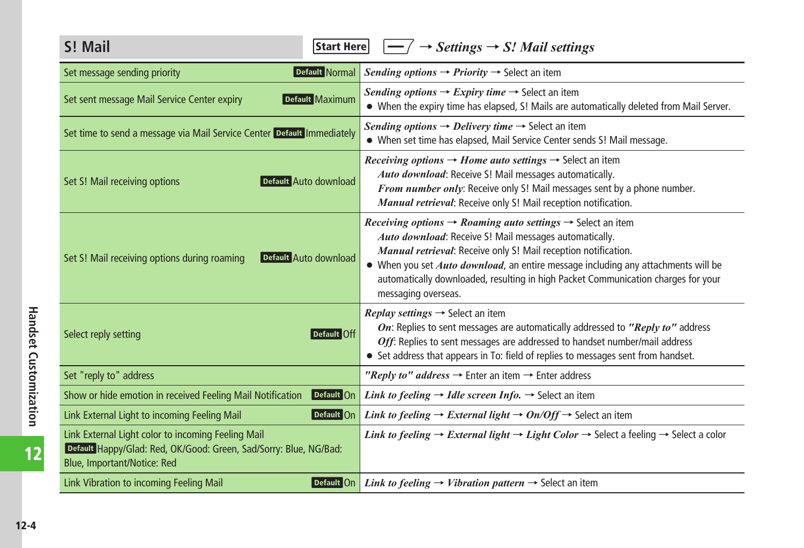<span id="page-3-0"></span>

| S! Mail<br> Start Here                                                                                                                                 | $\land \rightarrow$ Settings $\rightarrow$ S! Mail settings                                                                                                                                                                                                                                                                                                                                                                           |
|--------------------------------------------------------------------------------------------------------------------------------------------------------|---------------------------------------------------------------------------------------------------------------------------------------------------------------------------------------------------------------------------------------------------------------------------------------------------------------------------------------------------------------------------------------------------------------------------------------|
| Default Normal<br>Set message sending priority                                                                                                         | Sending options $\rightarrow$ Priority $\rightarrow$ Select an item                                                                                                                                                                                                                                                                                                                                                                   |
| Default Maximum<br>Set sent message Mail Service Center expiry                                                                                         | <i>Sending options</i> $\rightarrow$ <i>Expiry time</i> $\rightarrow$ Select an item<br>. When the expiry time has elapsed, S! Mails are automatically deleted from Mail Server.                                                                                                                                                                                                                                                      |
| Set time to send a message via Mail Service Center Default Immediately                                                                                 | Sending options $\rightarrow$ Delivery time $\rightarrow$ Select an item<br>• When set time has elapsed, Mail Service Center sends S! Mail message.                                                                                                                                                                                                                                                                                   |
| Default Auto download<br>Set S! Mail receiving options                                                                                                 | <i>Receiving options</i> $\rightarrow$ <i>Home auto settings</i> $\rightarrow$ Select an item<br>Auto download: Receive S! Mail messages automatically.<br>From number only: Receive only S! Mail messages sent by a phone number.<br>Manual retrieval: Receive only S! Mail reception notification.                                                                                                                                  |
| Set S! Mail receiving options during roaming<br>Default Auto download                                                                                  | <i>Receiving options</i> $\rightarrow$ <i>Roaming auto settings</i> $\rightarrow$ Select an item<br>Auto download: Receive S! Mail messages automatically.<br>Manual retrieval: Receive only S! Mail reception notification.<br>• When you set <i>Auto download</i> , an entire message including any attachments will be<br>automatically downloaded, resulting in high Packet Communication charges for your<br>messaging overseas. |
| Select reply setting<br>Default Off                                                                                                                    | <i>Replay settings</i> $\rightarrow$ Select an item<br>On: Replies to sent messages are automatically addressed to "Reply to" address<br>Off: Replies to sent messages are addressed to handset number/mail address<br>• Set address that appears in To: field of replies to messages sent from handset.                                                                                                                              |
| Set "reply to" address                                                                                                                                 | "Reply to" address $\rightarrow$ Enter an item $\rightarrow$ Enter address                                                                                                                                                                                                                                                                                                                                                            |
| Default On<br>Show or hide emotion in received Feeling Mail Notification                                                                               | <i>Link to feeling</i> $\rightarrow$ <i>Idle screen Info.</i> $\rightarrow$ Select an item                                                                                                                                                                                                                                                                                                                                            |
| Default On<br>Link External Light to incoming Feeling Mail                                                                                             | <i>Link to feeling</i> $\rightarrow$ <i>External light</i> $\rightarrow$ <i>On/Off</i> $\rightarrow$ Select an item                                                                                                                                                                                                                                                                                                                   |
| Link External Light color to incoming Feeling Mail<br>Default Happy/Glad: Red, OK/Good: Green, Sad/Sorry: Blue, NG/Bad:<br>Blue, Important/Notice: Red | <i>Link to feeling</i> $\rightarrow$ <i>External light</i> $\rightarrow$ <i>Light Color</i> $\rightarrow$ Select a feeling $\rightarrow$ Select a color                                                                                                                                                                                                                                                                               |
| Link Vibration to incoming Feeling Mail<br>Default On                                                                                                  | <i>Link to feeling</i> $\rightarrow$ <i>Vibration pattern</i> $\rightarrow$ Select an item                                                                                                                                                                                                                                                                                                                                            |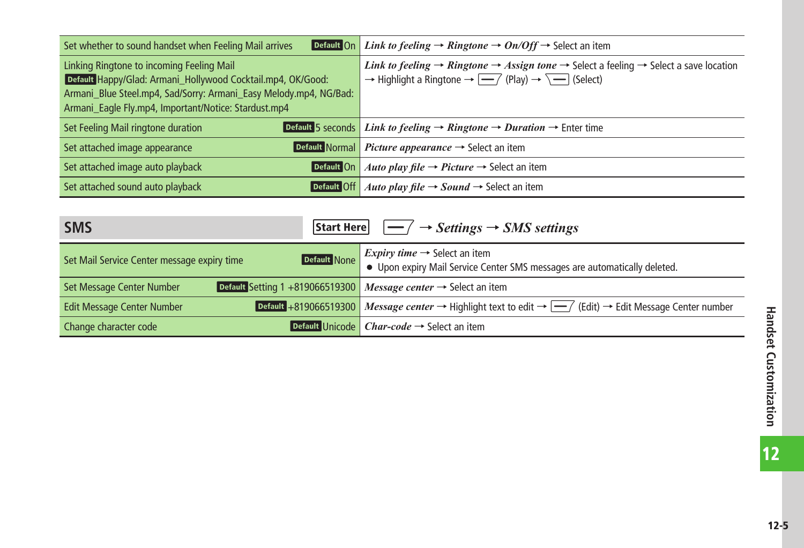<span id="page-4-0"></span>

| Default On<br>Set whether to sound handset when Feeling Mail arrives                                                                                                          | <i>Link to feeling</i> $\rightarrow$ <i>Ringtone</i> $\rightarrow$ <i>On/Off</i> $\rightarrow$ Select an item                                                                                                                                                                         |
|-------------------------------------------------------------------------------------------------------------------------------------------------------------------------------|---------------------------------------------------------------------------------------------------------------------------------------------------------------------------------------------------------------------------------------------------------------------------------------|
| Linking Ringtone to incoming Feeling Mail<br>Default Happy/Glad: Armani_Hollywood Cocktail.mp4, OK/Good:<br>Armani Blue Steel.mp4, Sad/Sorry: Armani Easy Melody.mp4, NG/Bad: | <i>Link to feeling</i> $\rightarrow$ <i>Ringtone</i> $\rightarrow$ <i>Assign tone</i> $\rightarrow$ Select a feeling $\rightarrow$ Select a save location<br>$\rightarrow$ Highlight a Ringtone $\rightarrow$ $\rightarrow$ $\rightarrow$ (Play) $\rightarrow$ $\rightarrow$ (Select) |
| Armani_Eagle Fly.mp4, Important/Notice: Stardust.mp4                                                                                                                          |                                                                                                                                                                                                                                                                                       |
| Set Feeling Mail ringtone duration                                                                                                                                            | <b>Default 5 seconds</b> <i>Link to feeling</i> $\rightarrow$ <i>Ringtone</i> $\rightarrow$ <i>Duration</i> $\rightarrow$ Enter time                                                                                                                                                  |
| Set attached image appearance                                                                                                                                                 | <b>Default Normal</b> <i>Picture appearance</i> $\rightarrow$ Select an item                                                                                                                                                                                                          |
| Set attached image auto playback<br>Default On                                                                                                                                | Auto play file $\rightarrow$ Picture $\rightarrow$ Select an item                                                                                                                                                                                                                     |
| Set attached sound auto playback<br>Default Off                                                                                                                               | Auto play file $\rightarrow$ Sound $\rightarrow$ Select an item                                                                                                                                                                                                                       |

| <b>SMS</b>                                  | Start Here $\vert$ $\vert \rightarrow$ / $\rightarrow$ Settings $\rightarrow$ SMS settings                                                                                         |  |
|---------------------------------------------|------------------------------------------------------------------------------------------------------------------------------------------------------------------------------------|--|
| Set Mail Service Center message expiry time | <b>Default</b> None <i>Expiry time</i> $\rightarrow$ Select an item<br><b>Default</b> None <b>Select o</b> Upon expiry Mail Service Center SMS messages are automatically deleted. |  |
| Set Message Center Number                   | Default Setting 1 +819066519300 Message center $\rightarrow$ Select an item                                                                                                        |  |
| <b>Edit Message Center Number</b>           | <b>Default</b> +819066519300 Message center $\rightarrow$ Highlight text to edit $\rightarrow$ $\boxed{-}$ (Edit) $\rightarrow$ Edit Message Center number                         |  |
| Change character code                       | <b>Default Unicode</b> <i>Char-code</i> $\rightarrow$ Select an item                                                                                                               |  |

 $\overline{12}$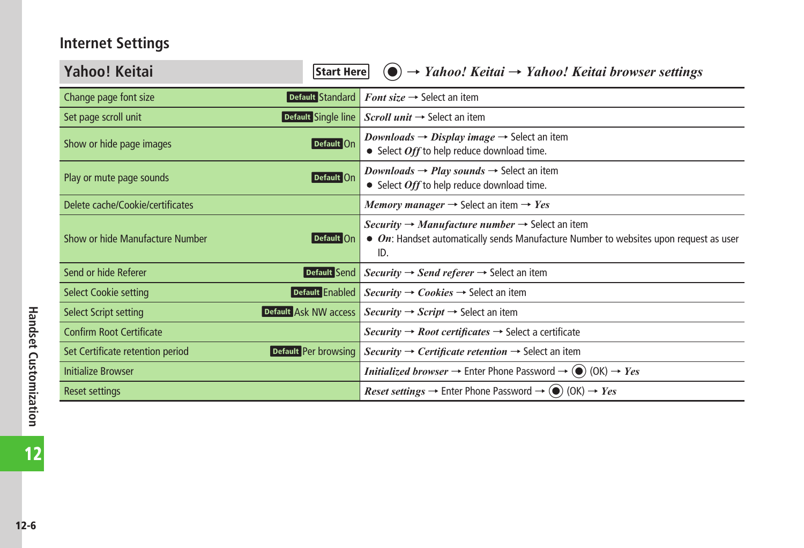## <span id="page-5-0"></span>**Internet Settings**

| Yahoo! Keitai<br>Start Here                              | $\rightarrow$ Yahoo! Keitai $\rightarrow$ Yahoo! Keitai browser settings                                                                                                                     |
|----------------------------------------------------------|----------------------------------------------------------------------------------------------------------------------------------------------------------------------------------------------|
| Default Standard<br>Change page font size                | <i>Font size</i> $\rightarrow$ Select an item                                                                                                                                                |
| Default Single line<br>Set page scroll unit              | Scroll unit $\rightarrow$ Select an item                                                                                                                                                     |
| Default On<br>Show or hide page images                   | <i>Downloads</i> → <i>Display image</i> → Select an item<br>• Select Off to help reduce download time.                                                                                       |
| Default On<br>Play or mute page sounds                   | <i>Downloads</i> $\rightarrow$ <i>Play sounds</i> $\rightarrow$ Select an item<br>• Select Off to help reduce download time.                                                                 |
| Delete cache/Cookie/certificates                         | <i>Memory manager</i> $\rightarrow$ Select an item $\rightarrow$ <i>Yes</i>                                                                                                                  |
| Show or hide Manufacture Number<br>Default On            | <i>Security</i> $\rightarrow$ <i>Manufacture number</i> $\rightarrow$ Select an item<br>$\bullet$ On: Handset automatically sends Manufacture Number to websites upon request as user<br>ID. |
| Send or hide Referer<br>Default Send                     | <i>Security</i> $\rightarrow$ <i>Send referer</i> $\rightarrow$ Select an item                                                                                                               |
| Default Enabled<br><b>Select Cookie setting</b>          | $Security \rightarrow Cobies \rightarrow Select$ an item                                                                                                                                     |
| Default Ask NW access<br><b>Select Script setting</b>    | <i>Security</i> $\rightarrow$ <i>Script</i> $\rightarrow$ Select an item                                                                                                                     |
| <b>Confirm Root Certificate</b>                          | <i>Security</i> $\rightarrow$ <i>Root certificates</i> $\rightarrow$ Select a certificate                                                                                                    |
| Default Per browsing<br>Set Certificate retention period | <i>Security</i> $\rightarrow$ <i>Certificate retention</i> $\rightarrow$ Select an item                                                                                                      |
| <b>Initialize Browser</b>                                | <i>Initialized browser</i> $\rightarrow$ Enter Phone Password $\rightarrow$ ( $\bullet$ ) (OK) $\rightarrow$ <i>Yes</i>                                                                      |
| <b>Reset settings</b>                                    | <i>Reset settings</i> $\rightarrow$ Enter Phone Password $\rightarrow$ ( $\bullet$ ) (OK) $\rightarrow$ <i>Yes</i>                                                                           |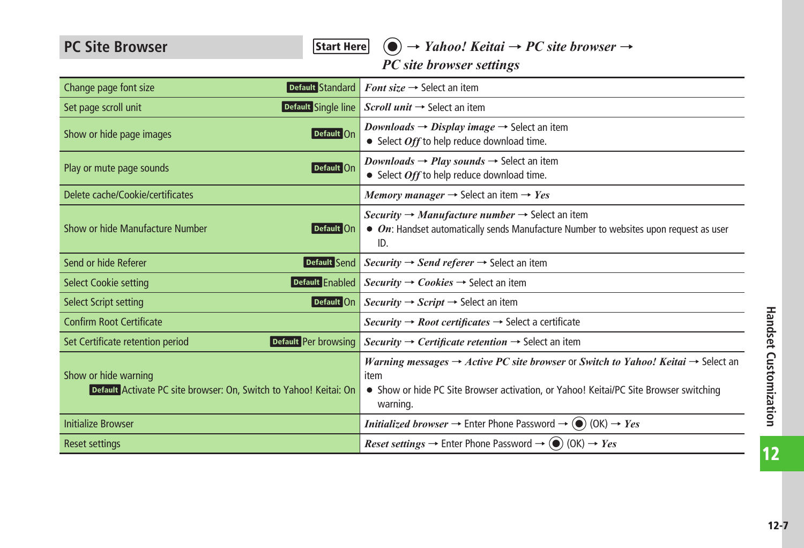<span id="page-6-0"></span>PC Site Browser **Figure** *Start Here* **(a)** → *Yahoo! Keitai* → *PC site browser* → *PC site browser settings*

| Default Standard<br>Change page font size                                                 | <b>Font size <math>\rightarrow</math> Select an item</b>                                                                                                                                                              |
|-------------------------------------------------------------------------------------------|-----------------------------------------------------------------------------------------------------------------------------------------------------------------------------------------------------------------------|
| Set page scroll unit<br>Default Single line                                               | Scroll unit $\rightarrow$ Select an item                                                                                                                                                                              |
| Default On<br>Show or hide page images                                                    | <i>Downloads</i> $\rightarrow$ <i>Display image</i> $\rightarrow$ Select an item<br>• Select Off to help reduce download time.                                                                                        |
| Play or mute page sounds<br>Default On                                                    | <i>Downloads</i> $\rightarrow$ <i>Play sounds</i> $\rightarrow$ Select an item<br>• Select Off to help reduce download time.                                                                                          |
| Delete cache/Cookie/certificates                                                          | Memory manager $\rightarrow$ Select an item $\rightarrow$ Yes                                                                                                                                                         |
| Show or hide Manufacture Number<br>Default On                                             | <i>Security</i> $\rightarrow$ <i>Manufacture number</i> $\rightarrow$ Select an item<br>$\bullet$ On: Handset automatically sends Manufacture Number to websites upon request as user<br>ID.                          |
| Send or hide Referer<br>Default Send                                                      | $Security \rightarrow Send \, referer \rightarrow Select \, an item$                                                                                                                                                  |
| Default Enabled<br><b>Select Cookie setting</b>                                           | <i>Security</i> $\rightarrow$ <i>Cookies</i> $\rightarrow$ Select an item                                                                                                                                             |
| <b>Select Script setting</b><br>Default On                                                | <i>Security</i> $\rightarrow$ <i>Script</i> $\rightarrow$ Select an item                                                                                                                                              |
| <b>Confirm Root Certificate</b>                                                           | <i>Security</i> $\rightarrow$ <i>Root certificates</i> $\rightarrow$ Select a certificate                                                                                                                             |
| Default Per browsing<br>Set Certificate retention period                                  | Security $\rightarrow$ Certificate retention $\rightarrow$ Select an item                                                                                                                                             |
| Show or hide warning<br>Default Activate PC site browser: On, Switch to Yahoo! Keitai: On | Warning messages $\rightarrow$ Active PC site browser or Switch to Yahoo! Keitai $\rightarrow$ Select an<br>item<br>• Show or hide PC Site Browser activation, or Yahoo! Keitai/PC Site Browser switching<br>warning. |
| <b>Initialize Browser</b>                                                                 | <i>Initialized browser</i> $\rightarrow$ Enter Phone Password $\rightarrow$ ( $\bullet$ ) (OK) $\rightarrow$ <i>Yes</i>                                                                                               |
| <b>Reset settings</b>                                                                     | <i>Reset settings</i> $\rightarrow$ Enter Phone Password $\rightarrow$ ( $\bullet$ ) (OK) $\rightarrow$ <i>Yes</i>                                                                                                    |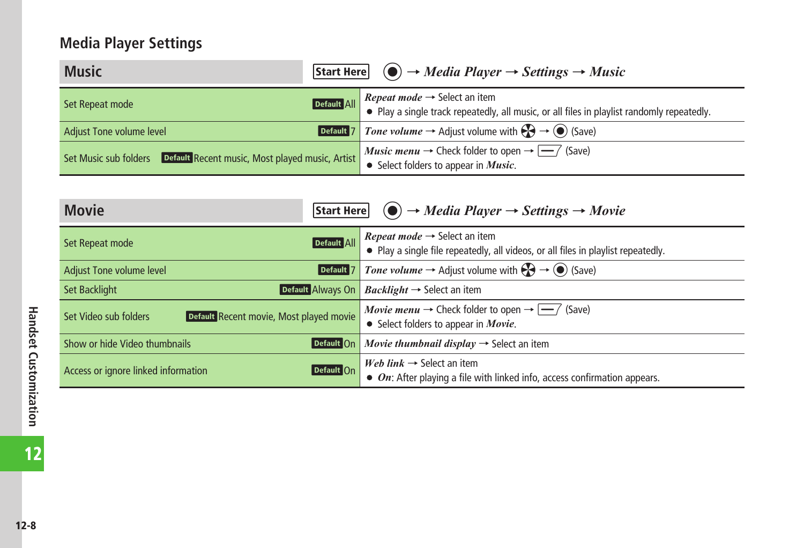## <span id="page-7-0"></span>**Media Player Settings**

| <b>Music</b>                                                          | <b>Start Here</b> $\odot \rightarrow Media Player \rightarrow Settings \rightarrow Music$                                                                                             |  |
|-----------------------------------------------------------------------|---------------------------------------------------------------------------------------------------------------------------------------------------------------------------------------|--|
| Set Repeat mode                                                       | <b>Default All Repeat mode <math>\rightarrow</math></b> Select an item<br><b>Default All Play a single track repeatedly, all music, or all files in playlist randomly repeatedly.</b> |  |
| Adjust Tone volume level                                              | <b>Default 7</b> Tone volume $\rightarrow$ Adjust volume with $\left(\frac{1}{2}\right) \rightarrow \left(\frac{1}{2}\right)$ (Save)                                                  |  |
| Set Music sub folders Default Recent music, Most played music, Artist | <i>Music menu</i> $\rightarrow$ Check folder to open $\rightarrow \rightarrow$ (Save)<br>$\bullet$ Select folders to appear in <i>Music</i> .                                         |  |

| <b>Movie</b>                                                     | <b>Start Here</b> $\odot \rightarrow Media Player \rightarrow Settings \rightarrow Movie$                                                           |  |
|------------------------------------------------------------------|-----------------------------------------------------------------------------------------------------------------------------------------------------|--|
| Set Repeat mode                                                  | <i>Repeat mode</i> $\rightarrow$ Select an item<br>Default All<br>• Play a single file repeatedly, all videos, or all files in playlist repeatedly. |  |
| Adjust Tone volume level                                         | <i>Tone volume</i> $\rightarrow$ Adjust volume with $\left(\frac{1}{2}\right) \rightarrow \left(\frac{1}{2}\right)$ (Save)<br>Default               |  |
| Set Backlight                                                    | Default Always On<br><i>Backlight</i> $\rightarrow$ Select an item                                                                                  |  |
| Default Recent movie, Most played movie<br>Set Video sub folders | <i>Movie menu</i> $\rightarrow$ Check folder to open $\rightarrow$ $\rightarrow$ (Save)<br>• Select folders to appear in <i>Movie</i> .             |  |
| Show or hide Video thumbnails                                    | Movie thumbnail display $\rightarrow$ Select an item<br>Default On                                                                                  |  |
| Access or ignore linked information                              | Web link $\rightarrow$ Select an item<br>Default On<br>$\bullet$ On: After playing a file with linked info, access confirmation appears.            |  |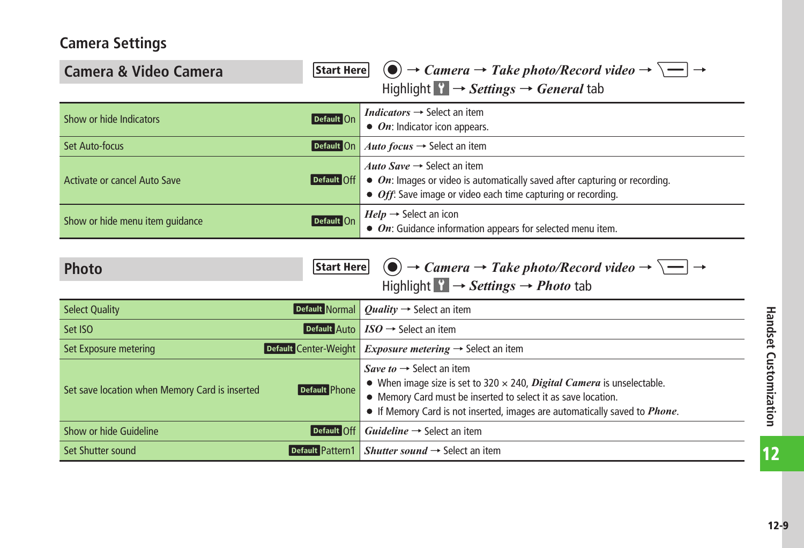### <span id="page-8-0"></span>**Camera Settings**

| Start Here<br>Camera & Video Camera                                    | $\overline{(\bullet)} \rightarrow$ Camera $\rightarrow$ Take photo/Record video $\rightarrow \overline{\setminus -}$ $\rightarrow$                                                                                                                                                  |  |
|------------------------------------------------------------------------|-------------------------------------------------------------------------------------------------------------------------------------------------------------------------------------------------------------------------------------------------------------------------------------|--|
| Highlight $\mathcal{C} \rightarrow$ Settings $\rightarrow$ General tab |                                                                                                                                                                                                                                                                                     |  |
| Show or hide Indicators<br>Default On                                  | <i>Indicators</i> $\rightarrow$ Select an item<br>• On: Indicator icon appears.                                                                                                                                                                                                     |  |
| Default On<br>Set Auto-focus                                           | Auto focus $\rightarrow$ Select an item                                                                                                                                                                                                                                             |  |
| Activate or cancel Auto Save<br>Default Off                            | Auto Save $\rightarrow$ Select an item<br>• On: Images or video is automatically saved after capturing or recording.<br>• Off: Save image or video each time capturing or recording.                                                                                                |  |
| Show or hide menu item guidance<br>Default On                          | $Help \rightarrow$ Select an icon<br>$\bullet$ On: Guidance information appears for selected menu item.                                                                                                                                                                             |  |
| Start Here <br><b>Photo</b>                                            | $\bigcirc$ $\rightarrow$ Camera $\rightarrow$ Take photo/Record video $\rightarrow \boxed{\rightarrow}$<br>Highlight $\mathbf{F} \rightarrow \mathbf{\mathit{Setting}} \rightarrow \mathbf{\mathit{Photo}}$ tab                                                                     |  |
| Default Normal<br><b>Select Quality</b>                                | <i>Ouality</i> $\rightarrow$ Select an item                                                                                                                                                                                                                                         |  |
| <b>Default</b> Auto<br>Set ISO                                         | $ISO \rightarrow$ Select an item                                                                                                                                                                                                                                                    |  |
| Default Center-Weight<br>Set Exposure metering                         | <i>Exposure metering</i> $\rightarrow$ Select an item                                                                                                                                                                                                                               |  |
| Set save location when Memory Card is inserted<br>Default Phone        | Save to $\rightarrow$ Select an item<br>• When image size is set to 320 $\times$ 240, <i>Digital Camera</i> is unselectable.<br>• Memory Card must be inserted to select it as save location.<br>• If Memory Card is not inserted, images are automatically saved to <i>Phone</i> . |  |
| Show or hide Guideline<br>Default Off                                  | $Guideline \rightarrow Select an item$                                                                                                                                                                                                                                              |  |
| Set Shutter sound                                                      | Default Pattern1   Shutter sound $\rightarrow$ Select an item                                                                                                                                                                                                                       |  |

12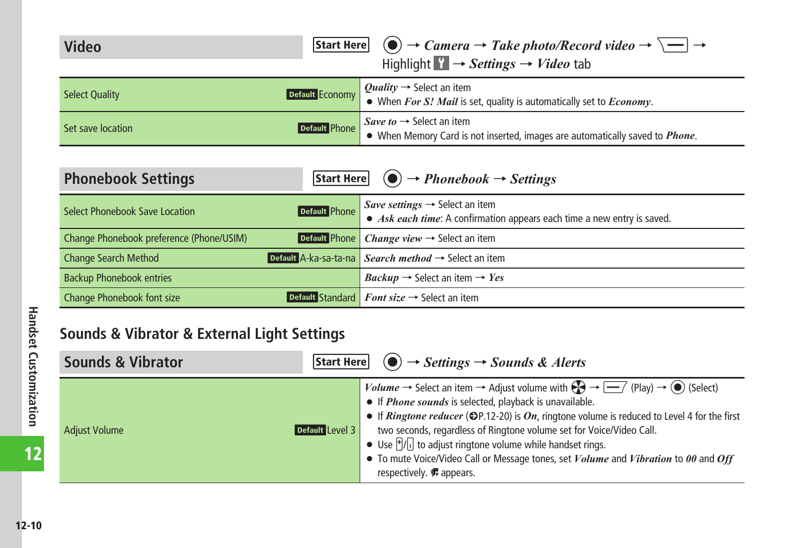<span id="page-9-0"></span>

| Video | <b>Start Here</b> $\bigcirc$ $\rightarrow$ <i>Camera</i> $\rightarrow$ <i>Take photo/Record video</i> $\rightarrow \overline{\setminus}$ $\rightarrow$ |  |
|-------|--------------------------------------------------------------------------------------------------------------------------------------------------------|--|
|       | Highlight $\mathbf{Y} \rightarrow \mathbf{Setting} s \rightarrow \mathbf{Video}$ tab                                                                   |  |

| <b>Select Quality</b> |               | <b>Default Economy</b> Quality $\rightarrow$ Select an item<br><b>Default Economy</b> $\bullet$ When <i>For S! Mail</i> is set, quality is automatically set to <i>Economy</i> . |
|-----------------------|---------------|----------------------------------------------------------------------------------------------------------------------------------------------------------------------------------|
| Set save location     | Default Phone | Save to $\rightarrow$ Select an item<br>• When Memory Card is not inserted, images are automatically saved to <i>Phone</i> .                                                     |

| <b>Phonebook Settings</b>                      | <b>Start Here</b> $\textcircled{\textcircled{\textcirc}} \rightarrow \text{Phonebook} \rightarrow \text{Setting } s$                                                    |
|------------------------------------------------|-------------------------------------------------------------------------------------------------------------------------------------------------------------------------|
| Select Phonebook Save Location                 | <b>Default</b> Phone $\left \frac{Save \: settings \rightarrow Select \: an \: item}\right $<br>• Ask each time: A confirmation appears each time a new entry is saved. |
| Change Phonebook preference (Phone/USIM)       | Default Phone <i>Change view</i> $\rightarrow$ Select an item                                                                                                           |
| <b>Change Search Method</b>                    | Default A-ka-sa-ta-na Search method $\rightarrow$ Select an item                                                                                                        |
| <b>Backup Phonebook entries</b>                | $Backup \rightarrow$ Select an item $\rightarrow Yes$                                                                                                                   |
| Change Phonebook font size<br>Default Standard | <i>Font size</i> $\rightarrow$ Select an item                                                                                                                           |

## **Sounds & Vibrator & External Light Settings**

| <b>Sounds &amp; Vibrator</b>            | <b>Start Here</b> $\left( \bullet \right) \rightarrow$ <i>Settings</i> $\rightarrow$ <i>Sounds &amp; Alerts</i>                                                                                                                                                                                                                                                                                                                                                                                                                                                                                                                                            |
|-----------------------------------------|------------------------------------------------------------------------------------------------------------------------------------------------------------------------------------------------------------------------------------------------------------------------------------------------------------------------------------------------------------------------------------------------------------------------------------------------------------------------------------------------------------------------------------------------------------------------------------------------------------------------------------------------------------|
| Default Level 3<br><b>Adjust Volume</b> | <i>Volume</i> $\rightarrow$ Select an item $\rightarrow$ Adjust volume with $\bigotimes \rightarrow \overline{\longrightarrow}$ (Play) $\rightarrow \circledcirc$ (Select)<br>• If <i>Phone sounds</i> is selected, playback is unavailable.<br>• If <i>Ringtone reducer</i> ( $\bigcirc$ P.12-20) is <i>On</i> , ringtone volume is reduced to Level 4 for the first<br>two seconds, regardless of Ringtone volume set for Voice/Video Call.<br>• Use $\frac{1}{2}$ to adjust ringtone volume while handset rings.<br>• To mute Voice/Video Call or Message tones, set <i>Volume</i> and <i>Vibration</i> to 00 and Off<br>respectively. <b></b> appears. |

12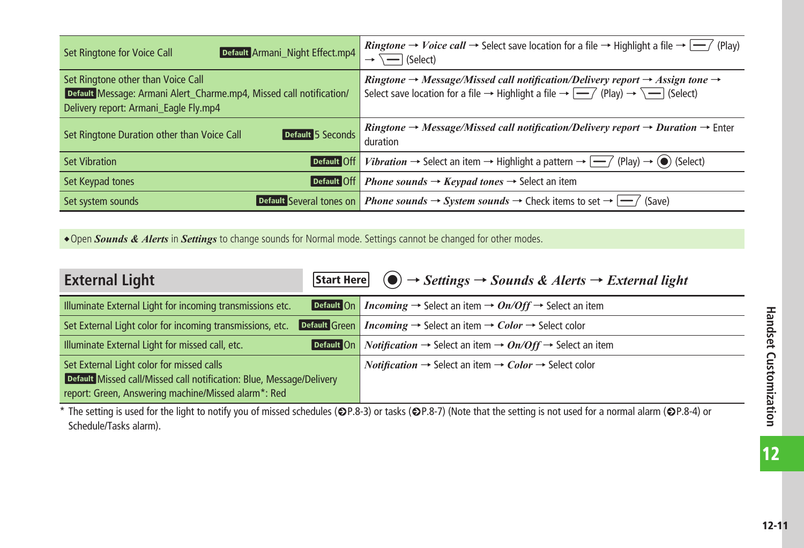<span id="page-10-0"></span>

| Default Armani_Night Effect.mp4<br>Set Ringtone for Voice Call                                                                                     | <i>Ringtone</i> $\rightarrow$ <i>Voice call</i> $\rightarrow$ Select save location for a file $\rightarrow$ Highlight a file $\rightarrow$ $\rightarrow$ $\rightarrow$ (Play)<br>$\overline{\phantom{a}}$ (Select)                                                             |
|----------------------------------------------------------------------------------------------------------------------------------------------------|--------------------------------------------------------------------------------------------------------------------------------------------------------------------------------------------------------------------------------------------------------------------------------|
| Set Ringtone other than Voice Call<br>Default Message: Armani Alert Charme.mp4, Missed call notification/<br>Delivery report: Armani Eagle Fly.mp4 | Ringtone $\rightarrow$ Message/Missed call notification/Delivery report $\rightarrow$ Assign tone $\rightarrow$<br>Select save location for a file $\rightarrow$ Highlight a file $\rightarrow$ $\rightarrow$ $\rightarrow$ $\rightarrow$ $\rightarrow$ $\rightarrow$ (Select) |
| Default 5 Seconds<br>Set Ringtone Duration other than Voice Call                                                                                   | <i>Ringtone</i> $\rightarrow$ <i>Message/Missed call notification/Delivery report</i> $\rightarrow$ <i>Duration</i> $\rightarrow$ Enter<br>duration                                                                                                                            |
| <b>Set Vibration</b><br>Default Off                                                                                                                | <i>Vibration</i> $\rightarrow$ Select an item $\rightarrow$ Highlight a pattern $\rightarrow$ $\rightarrow$ $\rightarrow$ (Play) $\rightarrow$ ( $\bullet$ ) (Select)                                                                                                          |
| Default Off<br>Set Keypad tones                                                                                                                    | <i>Phone sounds</i> $\rightarrow$ <i>Keypad tones</i> $\rightarrow$ Select an item                                                                                                                                                                                             |
| Default Several tones on<br>Set system sounds                                                                                                      | <b>Phone sounds <math>\rightarrow</math> System sounds <math>\rightarrow</math> Check items to set <math>\rightarrow</math> <math>\rightarrow</math> (Save)</b>                                                                                                                |

**.** Open *Sounds & Alerts* in *Settings* to change sounds for Normal mode. Settings cannot be changed for other modes.

| <b>External Light</b>                                                                                                                                                    |  | <b>Start Here</b> $\odot \rightarrow$ Settings $\rightarrow$ Sounds & Alerts $\rightarrow$ External light                   |
|--------------------------------------------------------------------------------------------------------------------------------------------------------------------------|--|-----------------------------------------------------------------------------------------------------------------------------|
| Illuminate External Light for incoming transmissions etc.                                                                                                                |  | <b>Default On</b> <i>Incoming</i> $\rightarrow$ Select an item $\rightarrow$ <i>On/Off</i> $\rightarrow$ Select an item     |
| Set External Light color for incoming transmissions, etc.                                                                                                                |  | <b>Default Green</b> <i>Incoming</i> $\rightarrow$ Select an item $\rightarrow$ <i>Color</i> $\rightarrow$ Select color     |
| Illuminate External Light for missed call, etc.                                                                                                                          |  | <b>Default On</b> <i>Notification</i> $\rightarrow$ Select an item $\rightarrow$ <i>On/Off</i> $\rightarrow$ Select an item |
| Set External Light color for missed calls<br>Default Missed call/Missed call notification: Blue, Message/Delivery<br>report: Green, Answering machine/Missed alarm*: Red |  | <i>Notification</i> $\rightarrow$ Select an item $\rightarrow$ <i>Color</i> $\rightarrow$ Select color                      |

\* The setting is used for the light to notify you of missed schedules ( $\bigcirc$ P.8-3) or tasks ( $\bigcirc$ P.8-7) (Note that the setting is not used for a normal alarm ( $\bigcirc$ P.8-4) or Schedule/Tasks alarm).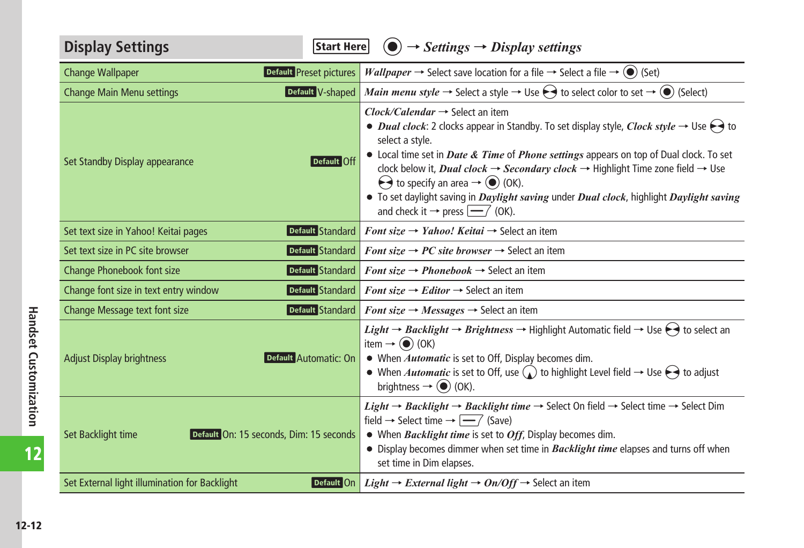<span id="page-11-0"></span>

| <b>Display Settings</b><br>Start Here                         | $\left( \bullet \right) \rightarrow$ Settings $\rightarrow$ Display settings                                                                                                                                                                                                                                                                                                                                                                                                                                                                                                                                                                                                                         |
|---------------------------------------------------------------|------------------------------------------------------------------------------------------------------------------------------------------------------------------------------------------------------------------------------------------------------------------------------------------------------------------------------------------------------------------------------------------------------------------------------------------------------------------------------------------------------------------------------------------------------------------------------------------------------------------------------------------------------------------------------------------------------|
| Default Preset pictures<br><b>Change Wallpaper</b>            | <i>Wallpaper</i> $\rightarrow$ Select save location for a file $\rightarrow$ Select a file $\rightarrow$ ( $\bullet$ ) (Set)                                                                                                                                                                                                                                                                                                                                                                                                                                                                                                                                                                         |
| Default V-shaped<br><b>Change Main Menu settings</b>          | <i>Main menu style</i> $\rightarrow$ Select a style $\rightarrow$ Use $\leftrightarrow$ to select color to set $\rightarrow$ ( $\bullet$ ) (Select)                                                                                                                                                                                                                                                                                                                                                                                                                                                                                                                                                  |
| Set Standby Display appearance<br>Default Off                 | $Clock/Calendar \rightarrow Select an item$<br>• <i>Dual clock</i> : 2 clocks appear in Standby. To set display style, <i>Clock style</i> $\rightarrow$ Use $\leftrightarrow$ to<br>select a style.<br>• Local time set in <i>Date &amp; Time</i> of <i>Phone settings</i> appears on top of Dual clock. To set<br>clock below it, <i>Dual clock</i> $\rightarrow$ <i>Secondary clock</i> $\rightarrow$ Highlight Time zone field $\rightarrow$ Use<br>$\leftrightarrow$ to specify an area $\rightarrow$ ( $\bullet$ ) (OK).<br>• To set daylight saving in <i>Daylight saving</i> under <i>Dual clock</i> , highlight <i>Daylight saving</i><br>and check it $\rightarrow$ press $\boxed{-}$ (OK). |
| Default Standard<br>Set text size in Yahoo! Keitai pages      | Font size $\rightarrow$ Yahoo! Keitai $\rightarrow$ Select an item                                                                                                                                                                                                                                                                                                                                                                                                                                                                                                                                                                                                                                   |
| Default Standard<br>Set text size in PC site browser          | <i>Font size</i> $\rightarrow$ <i>PC site browser</i> $\rightarrow$ Select an item                                                                                                                                                                                                                                                                                                                                                                                                                                                                                                                                                                                                                   |
| Default Standard<br>Change Phonebook font size                | <i>Font size</i> $\rightarrow$ <i>Phonebook</i> $\rightarrow$ Select an item                                                                                                                                                                                                                                                                                                                                                                                                                                                                                                                                                                                                                         |
| Default Standard<br>Change font size in text entry window     | <i>Font size</i> $\rightarrow$ <i>Editor</i> $\rightarrow$ Select an item                                                                                                                                                                                                                                                                                                                                                                                                                                                                                                                                                                                                                            |
| Change Message text font size<br>Default Standard             | <i>Font size</i> $\rightarrow$ <i>Messages</i> $\rightarrow$ Select an item                                                                                                                                                                                                                                                                                                                                                                                                                                                                                                                                                                                                                          |
| Default Automatic: On<br><b>Adjust Display brightness</b>     | <i>Light</i> $\rightarrow$ <i>Backlight</i> $\rightarrow$ <i>Brightness</i> $\rightarrow$ Highlight Automatic field $\rightarrow$ Use $\rightarrow$ to select an<br>item $\rightarrow$ ( $\bullet$ ) (OK)<br>• When <i>Automatic</i> is set to Off, Display becomes dim.<br>• When <i>Automatic</i> is set to Off, use $\bigcirc$ to highlight Level field $\rightarrow$ Use $\ominus$ to adjust<br>brightness $\rightarrow$ ( $\bullet$ ) (OK).                                                                                                                                                                                                                                                     |
| Default On: 15 seconds, Dim: 15 seconds<br>Set Backlight time | <i>Light</i> $\rightarrow$ <i>Backlight</i> $\rightarrow$ <i>Backlight time</i> $\rightarrow$ Select On field $\rightarrow$ Select time $\rightarrow$ Select Dim<br>field $\rightarrow$ Select time $\rightarrow \boxed{-7}$ (Save)<br>• When Backlight time is set to Off, Display becomes dim.<br>• Display becomes dimmer when set time in <b>Backlight time</b> elapses and turns off when<br>set time in Dim elapses.                                                                                                                                                                                                                                                                           |
| Set External light illumination for Backlight<br>Default On   | <i>Light</i> $\rightarrow$ <i>External light</i> $\rightarrow$ <i>On/Off</i> $\rightarrow$ Select an item                                                                                                                                                                                                                                                                                                                                                                                                                                                                                                                                                                                            |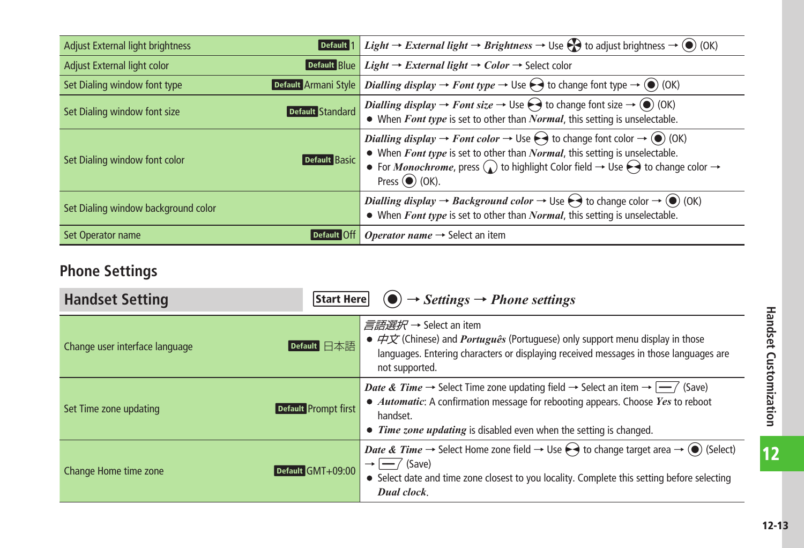<span id="page-12-0"></span>

| Default <sup>1</sup><br><b>Adjust External light brightness</b> | <i>Light</i> $\rightarrow$ <i>External light</i> $\rightarrow$ <i>Brightness</i> $\rightarrow$ Use $\leftrightarrow$ to adjust brightness $\rightarrow$ ( $\bullet$ ) (OK)                                                                                                                                                                                                                            |
|-----------------------------------------------------------------|-------------------------------------------------------------------------------------------------------------------------------------------------------------------------------------------------------------------------------------------------------------------------------------------------------------------------------------------------------------------------------------------------------|
| Adjust External light color<br>Default Blue                     | <i>Light</i> → <i>External light</i> → <i>Color</i> → Select color                                                                                                                                                                                                                                                                                                                                    |
| Set Dialing window font type                                    | <b>Default</b> Armani Style <i>Dialling display</i> $\rightarrow$ <i>Font type</i> $\rightarrow$ Use $\rightarrow$ to change font type $\rightarrow$ (0) (OK)                                                                                                                                                                                                                                         |
| Default Standard<br>Set Dialing window font size                | <i>Dialling display</i> $\rightarrow$ <i>Font size</i> $\rightarrow$ Use $\ominus$ to change font size $\rightarrow$ ( $\circ$ ) (OK)<br>$\bullet$ When <i>Font type</i> is set to other than <i>Normal</i> , this setting is unselectable.                                                                                                                                                           |
| <b>Default Basic</b><br>Set Dialing window font color           | <i>Dialling display</i> $\rightarrow$ <i>Font color</i> $\rightarrow$ Use $\rightarrow$ to change font color $\rightarrow$ ( $\rightarrow$ (OK)<br>• When Font type is set to other than Normal, this setting is unselectable.<br>• For <i>Monochrome</i> , press $\Omega$ to highlight Color field $\rightarrow$ Use $\ominus$ to change color $\rightarrow$<br>Press $\left( \bullet \right)$ (OK). |
| Set Dialing window background color                             | Dialling display $\rightarrow$ Background color $\rightarrow$ Use $\ominus$ to change color $\rightarrow$ ( $\odot$ ) (OK)<br>• When Font type is set to other than Normal, this setting is unselectable.                                                                                                                                                                                             |
| Default Off<br>Set Operator name                                | <i>Operator name</i> $\rightarrow$ Select an item                                                                                                                                                                                                                                                                                                                                                     |

# **Phone Settings**

| <b>Handset Setting</b><br>Start Here           | $\Theta$ $\rightarrow$ Settings $\rightarrow$ Phone settings                                                                                                                                                                                                                                              |
|------------------------------------------------|-----------------------------------------------------------------------------------------------------------------------------------------------------------------------------------------------------------------------------------------------------------------------------------------------------------|
| Default 日本語<br>Change user interface language  | <i>言語選択</i> → Select an item<br>• $\overrightarrow{H}\overrightarrow{X}$ (Chinese) and <i>Português</i> (Portuguese) only support menu display in those<br>languages. Entering characters or displaying received messages in those languages are<br>not supported.                                        |
| Default Prompt first<br>Set Time zone updating | <i>Date &amp; Time</i> $\rightarrow$ Select Time zone updating field $\rightarrow$ Select an item $\rightarrow$ $\rightarrow$ (Save)<br>• Automatic: A confirmation message for rebooting appears. Choose Yes to reboot<br>handset.<br>• Time zone updating is disabled even when the setting is changed. |
| Default GMT+09:00<br>Change Home time zone     | <i>Date &amp; Time</i> $\rightarrow$ Select Home zone field $\rightarrow$ Use $\ominus$ to change target area $\rightarrow$ ( $\circ$ ) (Select)<br>$\rightarrow$ $\rightarrow$ (Save)<br>• Select date and time zone closest to you locality. Complete this setting before selecting<br>Dual clock.      |

 $\boxed{12}$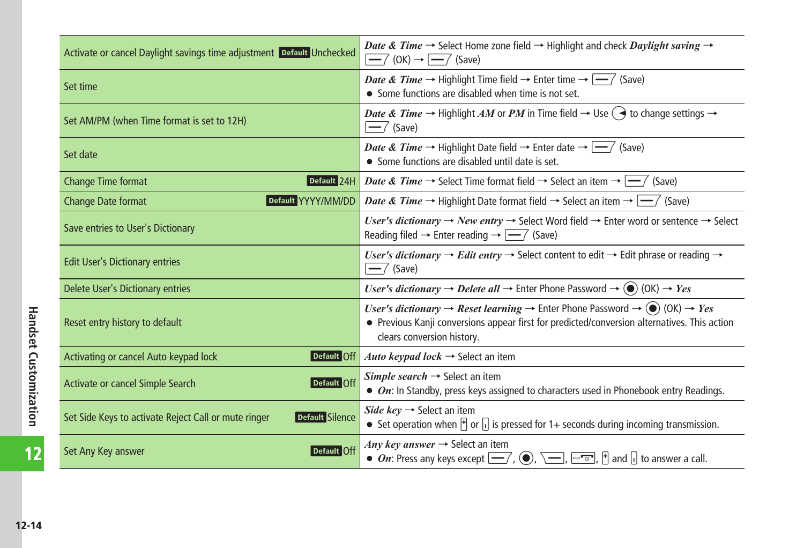| Activate or cancel Daylight savings time adjustment Default Unchecked          | <i>Date &amp; Time</i> $\rightarrow$ Select Home zone field $\rightarrow$ Highlight and check <i>Daylight saving</i> $\rightarrow$<br>$\left  \rightarrow \right $ (OK) $\rightarrow \left  \rightarrow \right $ (Save)                                                                   |
|--------------------------------------------------------------------------------|-------------------------------------------------------------------------------------------------------------------------------------------------------------------------------------------------------------------------------------------------------------------------------------------|
| Set time                                                                       | <i>Date &amp; Time</i> $\rightarrow$ Highlight Time field $\rightarrow$ Enter time $\rightarrow$ $\rightarrow$ (Save)<br>• Some functions are disabled when time is not set.                                                                                                              |
| Set AM/PM (when Time format is set to 12H)                                     | <i>Date &amp; Time</i> $\rightarrow$ Highlight AM or PM in Time field $\rightarrow$ Use $\rightarrow$ to change settings $\rightarrow$<br>$\overline{-}$ (Save)                                                                                                                           |
| Set date                                                                       | <i>Date &amp; Time</i> $\rightarrow$ Highlight Date field $\rightarrow$ Enter date $\rightarrow$ $\rightarrow$ $\rightarrow$ (Save)<br>• Some functions are disabled until date is set.                                                                                                   |
| Change Time format                                                             | <b>Default 24H</b> Date & Time $\rightarrow$ Select Time format field $\rightarrow$ Select an item $\rightarrow$ $\rightarrow$ (Save)                                                                                                                                                     |
| Default YYYY/MM/DD<br>Change Date format                                       | <i>Date &amp; Time</i> $\rightarrow$ Highlight Date format field $\rightarrow$ Select an item $\rightarrow$ $\rightarrow$ (Save)                                                                                                                                                          |
| Save entries to User's Dictionary                                              | User's dictionary $\rightarrow$ New entry $\rightarrow$ Select Word field $\rightarrow$ Enter word or sentence $\rightarrow$ Select<br>Reading filed $\rightarrow$ Enter reading $\rightarrow$ $\rightarrow$ (Save)                                                                       |
| <b>Edit User's Dictionary entries</b>                                          | User's dictionary $\rightarrow$ Edit entry $\rightarrow$ Select content to edit $\rightarrow$ Edit phrase or reading $\rightarrow$<br>$\overline{-7}$ (Save)                                                                                                                              |
| Delete User's Dictionary entries                                               | <i>User's dictionary</i> $\rightarrow$ <i>Delete all</i> $\rightarrow$ Enter Phone Password $\rightarrow$ ( $\bullet$ ) (OK) $\rightarrow$ <i>Yes</i>                                                                                                                                     |
| Reset entry history to default                                                 | <i>User's dictionary</i> $\rightarrow$ <i>Reset learning</i> $\rightarrow$ Enter Phone Password $\rightarrow$ ( $\odot$ ) (OK) $\rightarrow$ <i>Yes</i><br>• Previous Kanji conversions appear first for predicted/conversion alternatives. This action<br>clears conversion history.     |
| Activating or cancel Auto keypad lock<br>Default Off                           | Auto keypad lock $\rightarrow$ Select an item                                                                                                                                                                                                                                             |
| Default Off<br>Activate or cancel Simple Search                                | Simple search $\rightarrow$ Select an item<br>• On: In Standby, press keys assigned to characters used in Phonebook entry Readings.                                                                                                                                                       |
| Set Side Keys to activate Reject Call or mute ringer<br><b>Default Silence</b> | Side key $\rightarrow$ Select an item<br>• Set operation when $\mathbb{F}$ or $\mathbb{F}$ is pressed for 1+ seconds during incoming transmission.                                                                                                                                        |
| Set Any Key answer<br>Default <b>Oii</b>                                       | Any key answer $\rightarrow$ Select an item<br>• On: Press any keys except $\boxed{\underline{\hspace{1cm}}'}$ , $\boxed{\textcircled{\hspace{1cm}}}$ , $\boxed{\underline{\hspace{1cm}}}$ , $\boxed{\hspace{1cm}}$ , $\boxed{\hspace{1cm}}$ and $\boxed{\hspace{1cm}}$ to answer a call. |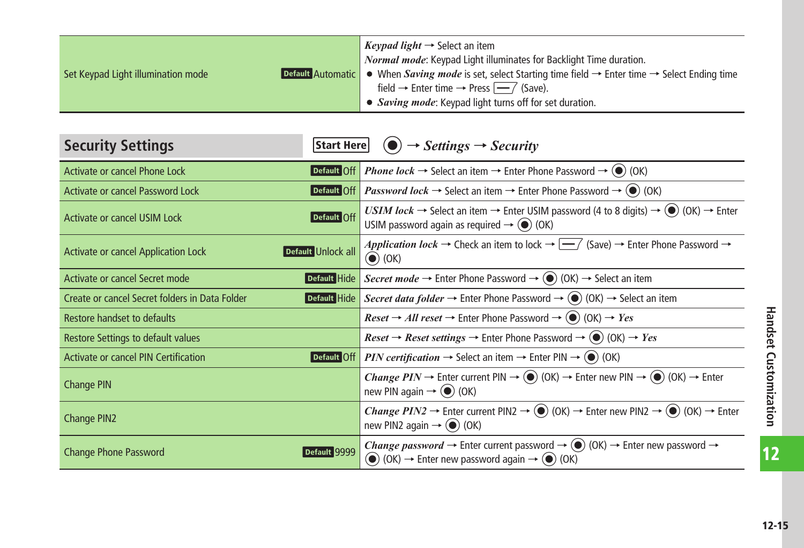<span id="page-14-0"></span>

|                                    | <i>Keypad light</i> $\rightarrow$ Select an item                                                                                                |
|------------------------------------|-------------------------------------------------------------------------------------------------------------------------------------------------|
|                                    | Normal mode: Keypad Light illuminates for Backlight Time duration.                                                                              |
| Set Keypad Light illumination mode | <b>Default Automatic</b> • When <i>Saving mode</i> is set, select Starting time field $\rightarrow$ Enter time $\rightarrow$ Select Ending time |
|                                    | field $\rightarrow$ Enter time $\rightarrow$ Press $\boxed{-7}$ (Save).                                                                         |
|                                    | • Saving mode: Keypad light turns off for set duration.                                                                                         |

| <b>Security Settings</b><br>Start Here                           | $\left( \bullet \right) \rightarrow Setting \rightarrow Security$                                                                                                                                                                                               |
|------------------------------------------------------------------|-----------------------------------------------------------------------------------------------------------------------------------------------------------------------------------------------------------------------------------------------------------------|
| <b>Activate or cancel Phone Lock</b>                             | <b>Default Off</b> Phone lock $\rightarrow$ Select an item $\rightarrow$ Enter Phone Password $\rightarrow$ ( $\bullet$ ) (OK)                                                                                                                                  |
| <b>Activate or cancel Password Lock</b>                          | <b>Default Off</b> <i>Password lock</i> $\rightarrow$ Select an item $\rightarrow$ Enter Phone Password $\rightarrow$ ( $\bullet$ ) (OK)                                                                                                                        |
| <b>Default Off</b><br>Activate or cancel USIM Lock               | <i>USIM lock</i> $\rightarrow$ Select an item $\rightarrow$ Enter USIM password (4 to 8 digits) $\rightarrow$ ( $\bullet$ ) (OK) $\rightarrow$ Enter<br>USIM password again as required $\rightarrow$ ( $\bullet$ ) (OK)                                        |
| Default Unlock all<br><b>Activate or cancel Application Lock</b> | Application lock $\rightarrow$ Check an item to lock $\rightarrow \boxed{\rightarrow}$ (Save) $\rightarrow$ Enter Phone Password $\rightarrow$<br>$\left(\bullet\right)$ (OK)                                                                                   |
| Activate or cancel Secret mode                                   | <b>Default Hide</b> Secret mode $\rightarrow$ Enter Phone Password $\rightarrow$ (O) (OK) $\rightarrow$ Select an item                                                                                                                                          |
| Create or cancel Secret folders in Data Folder                   | <b>Default Hide</b> Secret data folder $\rightarrow$ Enter Phone Password $\rightarrow$ ( $\bullet$ ) (OK) $\rightarrow$ Select an item                                                                                                                         |
| Restore handset to defaults                                      | <i>Reset</i> $\rightarrow$ <i>All reset</i> $\rightarrow$ Enter Phone Password $\rightarrow$ ( $\bullet$ ) (OK) $\rightarrow$ <i>Yes</i>                                                                                                                        |
| Restore Settings to default values                               | <i>Reset</i> $\rightarrow$ <i>Reset settings</i> $\rightarrow$ Enter Phone Password $\rightarrow$ (O) (OK) $\rightarrow$ <i>Yes</i>                                                                                                                             |
| Default Off<br><b>Activate or cancel PIN Certification</b>       | <b>PIN certification</b> $\rightarrow$ Select an item $\rightarrow$ Enter PIN $\rightarrow$ ( $\bullet$ ) (OK)                                                                                                                                                  |
| Change PIN                                                       | <i>Change PIN</i> $\rightarrow$ Enter current PIN $\rightarrow$ (0) (OK) $\rightarrow$ Enter new PIN $\rightarrow$ (0) (OK) $\rightarrow$ Enter<br>new PIN again $\rightarrow$ ( $\bullet$ ) (OK)                                                               |
| Change PIN2                                                      | <i>Change PIN2</i> $\rightarrow$ Enter current PIN2 $\rightarrow$ (O) (OK) $\rightarrow$ Enter new PIN2 $\rightarrow$ (O) (OK) $\rightarrow$ Enter<br>new PIN2 again $\rightarrow$ ( $\bullet$ ) (OK)                                                           |
| Default 9999<br><b>Change Phone Password</b>                     | <i>Change password</i> $\rightarrow$ Enter current password $\rightarrow$ ( $\bullet$ ) (OK) $\rightarrow$ Enter new password $\rightarrow$<br>$\textcircled{\bullet}$ (OK) $\rightarrow$ Enter new password again $\rightarrow$ $\textcircled{\bullet}$ ) (OK) |

 $\overline{12}$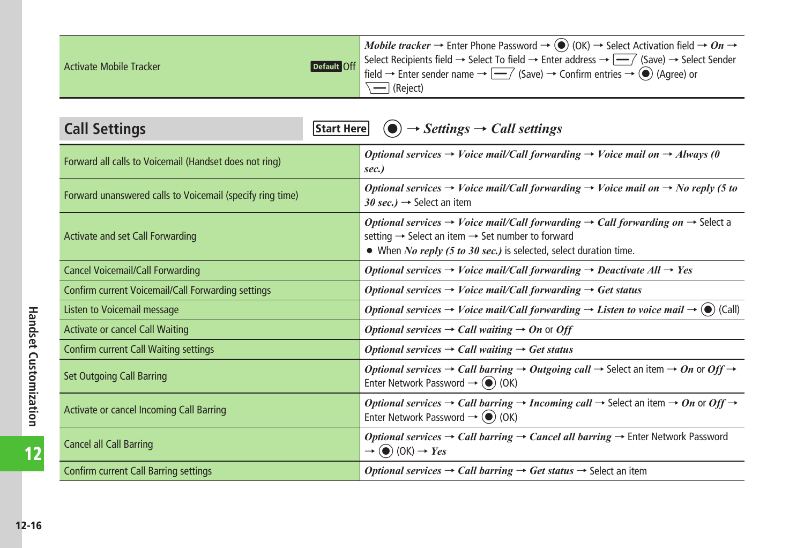<span id="page-15-0"></span>

| <b>Activate Mobile Tracker</b> | <i>Mobile tracker</i> → Enter Phone Password → ( $\odot$ ) (OK) → Select Activation field → On →                                                                                                                                                   |
|--------------------------------|----------------------------------------------------------------------------------------------------------------------------------------------------------------------------------------------------------------------------------------------------|
|                                | <b>Default</b> Off Select Recipients field → Select To field → Enter address → $\boxed{\phantom{aaaa}}$ (Save) → Select Sender field → Enter sender name → $\boxed{\phantom{aaaa}}$ (Save) → Confirm entries → $\boxed{\phantom{aaaa}}$ (Agree) or |
|                                |                                                                                                                                                                                                                                                    |
|                                | \ —   (Reject)                                                                                                                                                                                                                                     |

| <b>Call Settings</b><br>Start Here                        | $\left( \bullet \right) \rightarrow$ Settings $\rightarrow$ Call settings                                                                                                                                                                                           |
|-----------------------------------------------------------|---------------------------------------------------------------------------------------------------------------------------------------------------------------------------------------------------------------------------------------------------------------------|
| Forward all calls to Voicemail (Handset does not ring)    | Optional services $\rightarrow$ Voice mail/Call forwarding $\rightarrow$ Voice mail on $\rightarrow$ Always (0<br>sec.)                                                                                                                                             |
| Forward unanswered calls to Voicemail (specify ring time) | Optional services $\rightarrow$ Voice mail/Call forwarding $\rightarrow$ Voice mail on $\rightarrow$ No reply (5 to<br>30 sec.) $\rightarrow$ Select an item                                                                                                        |
| Activate and set Call Forwarding                          | Optional services $\rightarrow$ Voice mail/Call forwarding $\rightarrow$ Call forwarding on $\rightarrow$ Select a<br>setting $\rightarrow$ Select an item $\rightarrow$ Set number to forward<br>• When No reply (5 to 30 sec.) is selected, select duration time. |
| <b>Cancel Voicemail/Call Forwarding</b>                   | Optional services $\rightarrow$ Voice mail/Call forwarding $\rightarrow$ Deactivate All $\rightarrow$ Yes                                                                                                                                                           |
| Confirm current Voicemail/Call Forwarding settings        | Optional services $\rightarrow$ Voice mail/Call forwarding $\rightarrow$ Get status                                                                                                                                                                                 |
| Listen to Voicemail message                               | Optional services $\rightarrow$ Voice mail/Call forwarding $\rightarrow$ Listen to voice mail $\rightarrow$ ( $\bullet$ ) (Call)                                                                                                                                    |
| <b>Activate or cancel Call Waiting</b>                    | Optional services $\rightarrow$ Call waiting $\rightarrow$ On or Off                                                                                                                                                                                                |
| Confirm current Call Waiting settings                     | Optional services $\rightarrow$ Call waiting $\rightarrow$ Get status                                                                                                                                                                                               |
| <b>Set Outgoing Call Barring</b>                          | <i>Optional services</i> $\rightarrow$ <i>Call barring</i> $\rightarrow$ <i>Outgoing call</i> $\rightarrow$ Select an item $\rightarrow$ <i>On</i> or <i>Off</i> $\rightarrow$<br>Enter Network Password $\rightarrow$ ( $\bullet$ ) (OK)                           |
| Activate or cancel Incoming Call Barring                  | <i>Optional services</i> $\rightarrow$ <i>Call barring</i> $\rightarrow$ <i>Incoming call</i> $\rightarrow$ Select an item $\rightarrow$ <i>On</i> or <i>Off</i> $\rightarrow$<br>Enter Network Password $\rightarrow$ ( $\bullet$ ) (OK)                           |
| <b>Cancel all Call Barring</b>                            | Optional services $\rightarrow$ Call barring $\rightarrow$ Cancel all barring $\rightarrow$ Enter Network Password<br>$\rightarrow$ ( $\bullet$ ) (OK) $\rightarrow$ Yes                                                                                            |
| <b>Confirm current Call Barring settings</b>              | <i>Optional services</i> $\rightarrow$ <i>Call barring</i> $\rightarrow$ <i>Get status</i> $\rightarrow$ Select an item                                                                                                                                             |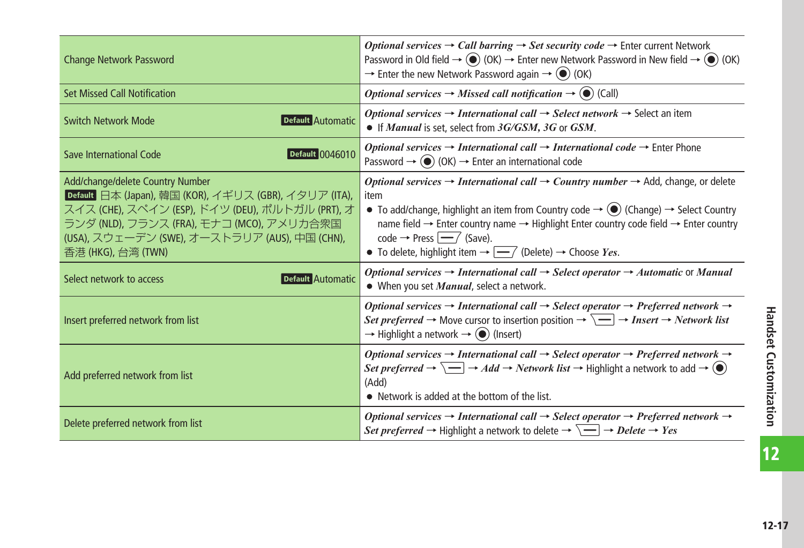| <b>Change Network Password</b>                                                                                                                                                                                                                                    | <i>Optional services</i> $\rightarrow$ <i>Call barring</i> $\rightarrow$ <i>Set security code</i> $\rightarrow$ Enter current Network<br>Password in Old field $\rightarrow$ $\circledcirc$ (OK) $\rightarrow$ Enter new Network Password in New field $\rightarrow$ $\circledcirc$ (OK)<br>$\rightarrow$ Enter the new Network Password again $\rightarrow$ (O) (OK)                                                                                                                                                          |
|-------------------------------------------------------------------------------------------------------------------------------------------------------------------------------------------------------------------------------------------------------------------|--------------------------------------------------------------------------------------------------------------------------------------------------------------------------------------------------------------------------------------------------------------------------------------------------------------------------------------------------------------------------------------------------------------------------------------------------------------------------------------------------------------------------------|
| <b>Set Missed Call Notification</b>                                                                                                                                                                                                                               | <i>Optional services</i> $\rightarrow$ <i>Missed call notification</i> $\rightarrow$ ( $\bullet$ ) (Call)                                                                                                                                                                                                                                                                                                                                                                                                                      |
| Switch Network Mode<br>Default Automatic                                                                                                                                                                                                                          | <i>Optional services</i> $\rightarrow$ <i>International call</i> $\rightarrow$ <i>Select network</i> $\rightarrow$ Select an item<br>• If <i>Manual</i> is set, select from 3G/GSM, 3G or GSM.                                                                                                                                                                                                                                                                                                                                 |
| <b>Default 0046010</b><br>Save International Code                                                                                                                                                                                                                 | <i>Optional services</i> $\rightarrow$ <i>International call</i> $\rightarrow$ <i>International code</i> $\rightarrow$ Enter Phone<br>Password $\rightarrow$ $\circledcirc$ (OK) $\rightarrow$ Enter an international code                                                                                                                                                                                                                                                                                                     |
| Add/change/delete Country Number<br>Default 日本 (Japan), 韓国 (KOR), イギリス (GBR), イタリア (ITA),<br>スイス (CHE), スペイン (ESP), ドイツ (DEU), ポルトガル (PRT), オ<br>ランダ (NLD), フランス (FRA), モナコ (MCO), アメリカ合衆国<br>(USA), スウェーデン (SWE), オーストラリア (AUS), 中国 (CHN),<br>香港 (HKG), 台湾 (TWN) | <i>Optional services</i> $\rightarrow$ <i>International call</i> $\rightarrow$ <i>Country number</i> $\rightarrow$ Add, change, or delete<br>item<br>• To add/change, highlight an item from Country code $\rightarrow$ ( $\bullet$ ) (Change) $\rightarrow$ Select Country<br>name field → Enter country name → Highlight Enter country code field → Enter country<br>code $\rightarrow$ Press $\boxed{-7}$ (Save).<br>• To delete, highlight item $\rightarrow$ $\boxed{\longrightarrow}$ (Delete) $\rightarrow$ Choose Yes. |
| Select network to access<br>Default Automatic                                                                                                                                                                                                                     | Optional services $\rightarrow$ International call $\rightarrow$ Select operator $\rightarrow$ Automatic or Manual<br>• When you set <i>Manual</i> , select a network.                                                                                                                                                                                                                                                                                                                                                         |
| Insert preferred network from list                                                                                                                                                                                                                                | Optional services $\rightarrow$ International call $\rightarrow$ Select operator $\rightarrow$ Preferred network $\rightarrow$<br><i>Set preferred</i> $\rightarrow$ Move cursor to insertion position $\rightarrow \Box$ $\rightarrow$ <i>Insert</i> $\rightarrow$ <i>Network list</i><br>$\rightarrow$ Highlight a network $\rightarrow$ ( $\bullet$ ) (Insert)                                                                                                                                                              |
| Add preferred network from list                                                                                                                                                                                                                                   | Optional services $\rightarrow$ International call $\rightarrow$ Select operator $\rightarrow$ Preferred network $\rightarrow$<br><i>Set preferred</i> $\rightarrow \Box \rightarrow Add \rightarrow Network$ <i>list</i> $\rightarrow$ Highlight a network to add $\rightarrow \circledcirc$<br>(Add)<br>• Network is added at the bottom of the list.                                                                                                                                                                        |
| Delete preferred network from list                                                                                                                                                                                                                                | Optional services $\rightarrow$ International call $\rightarrow$ Select operator $\rightarrow$ Preferred network $\rightarrow$<br><i>Set preferred</i> $\rightarrow$ Highlight a network to delete $\rightarrow \overline{\setminus} \rightarrow$ <i>Delete</i> $\rightarrow$ <i>Yes</i>                                                                                                                                                                                                                                       |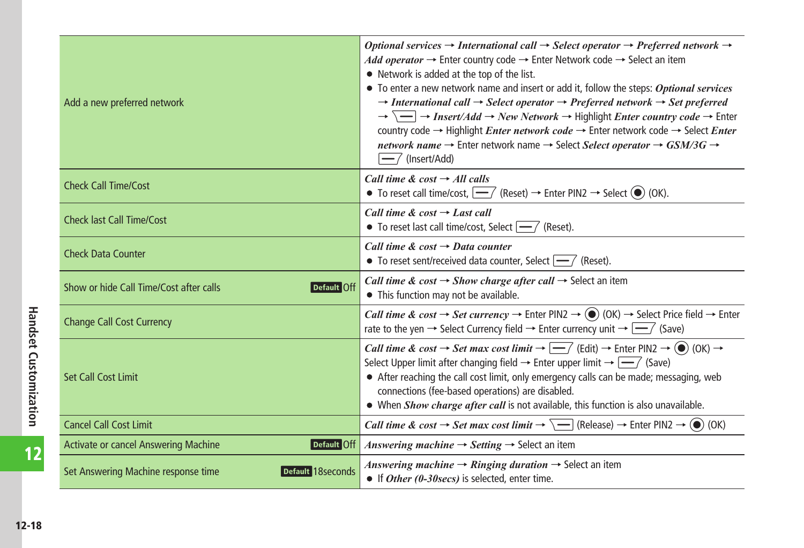| Add a new preferred network                              | Optional services $\rightarrow$ International call $\rightarrow$ Select operator $\rightarrow$ Preferred network $\rightarrow$<br>Add operator $\rightarrow$ Enter country code $\rightarrow$ Enter Network code $\rightarrow$ Select an item<br>• Network is added at the top of the list.<br>$\bullet$ To enter a new network name and insert or add it, follow the steps: Optional services<br>$\rightarrow$ International call $\rightarrow$ Select operator $\rightarrow$ Preferred network $\rightarrow$ Set preferred<br>$\rightarrow \overline{\setminus}$ $\rightarrow$ Insert/Add $\rightarrow$ New Network $\rightarrow$ Highlight <i>Enter country code</i> $\rightarrow$ Enter<br>country code $\rightarrow$ Highlight <i>Enter network code</i> $\rightarrow$ Enter network code $\rightarrow$ Select <i>Enter</i><br>network name $\rightarrow$ Enter network name $\rightarrow$ Select Select operator $\rightarrow$ GSM/3G $\rightarrow$<br>$-$ (Insert/Add) |
|----------------------------------------------------------|-------------------------------------------------------------------------------------------------------------------------------------------------------------------------------------------------------------------------------------------------------------------------------------------------------------------------------------------------------------------------------------------------------------------------------------------------------------------------------------------------------------------------------------------------------------------------------------------------------------------------------------------------------------------------------------------------------------------------------------------------------------------------------------------------------------------------------------------------------------------------------------------------------------------------------------------------------------------------------|
| <b>Check Call Time/Cost</b>                              | Call time & cost $\rightarrow$ All calls<br>• To reset call time/cost, $\boxed{-7}$ (Reset) $\rightarrow$ Enter PIN2 $\rightarrow$ Select ( $\bullet$ ) (OK).                                                                                                                                                                                                                                                                                                                                                                                                                                                                                                                                                                                                                                                                                                                                                                                                                 |
| <b>Check last Call Time/Cost</b>                         | Call time & cost $\rightarrow$ Last call<br>• To reset last call time/cost, Select $\boxed{-}$ (Reset).                                                                                                                                                                                                                                                                                                                                                                                                                                                                                                                                                                                                                                                                                                                                                                                                                                                                       |
| <b>Check Data Counter</b>                                | Call time & cost $\rightarrow$ Data counter<br>• To reset sent/received data counter, Select $\boxed{-}$ (Reset).                                                                                                                                                                                                                                                                                                                                                                                                                                                                                                                                                                                                                                                                                                                                                                                                                                                             |
| Default Off<br>Show or hide Call Time/Cost after calls   | Call time & cost $\rightarrow$ Show charge after call $\rightarrow$ Select an item<br>• This function may not be available.                                                                                                                                                                                                                                                                                                                                                                                                                                                                                                                                                                                                                                                                                                                                                                                                                                                   |
| <b>Change Call Cost Currency</b>                         | <i>Call time &amp; cost</i> $\rightarrow$ <i>Set currency</i> $\rightarrow$ Enter PIN2 $\rightarrow$ (OK) $\rightarrow$ Select Price field $\rightarrow$ Enter<br>rate to the yen $\rightarrow$ Select Currency field $\rightarrow$ Enter currency unit $\rightarrow \boxed{\rightarrow}$ (Save)                                                                                                                                                                                                                                                                                                                                                                                                                                                                                                                                                                                                                                                                              |
| <b>Set Call Cost Limit</b>                               | Call time & cost $\rightarrow$ Set max cost limit $\rightarrow \boxed{\text{--}}$ (Edit) $\rightarrow$ Enter PIN2 $\rightarrow$ (O) (OK) $\rightarrow$<br>Select Upper limit after changing field $\rightarrow$ Enter upper limit $\rightarrow$ $\rightarrow$ $\rightarrow$ (Save)<br>• After reaching the call cost limit, only emergency calls can be made; messaging, web<br>connections (fee-based operations) are disabled.<br>• When Show charge after call is not available, this function is also unavailable.                                                                                                                                                                                                                                                                                                                                                                                                                                                        |
| <b>Cancel Call Cost Limit</b>                            | <i>Call time &amp; cost</i> $\rightarrow$ <i>Set max cost limit</i> $\rightarrow \overline{\setminus}$ (Release) $\rightarrow$ Enter PIN2 $\rightarrow$ ( $\bullet$ ) (OK)                                                                                                                                                                                                                                                                                                                                                                                                                                                                                                                                                                                                                                                                                                                                                                                                    |
| <b>Activate or cancel Answering Machine</b>              | <b>Default Off</b> <i>Answering machine</i> $\rightarrow$ <i>Setting</i> $\rightarrow$ Select an item                                                                                                                                                                                                                                                                                                                                                                                                                                                                                                                                                                                                                                                                                                                                                                                                                                                                         |
| Default 18seconds<br>Set Answering Machine response time | Answering machine $\rightarrow$ Ringing duration $\rightarrow$ Select an item<br>• If Other (0-30secs) is selected, enter time.                                                                                                                                                                                                                                                                                                                                                                                                                                                                                                                                                                                                                                                                                                                                                                                                                                               |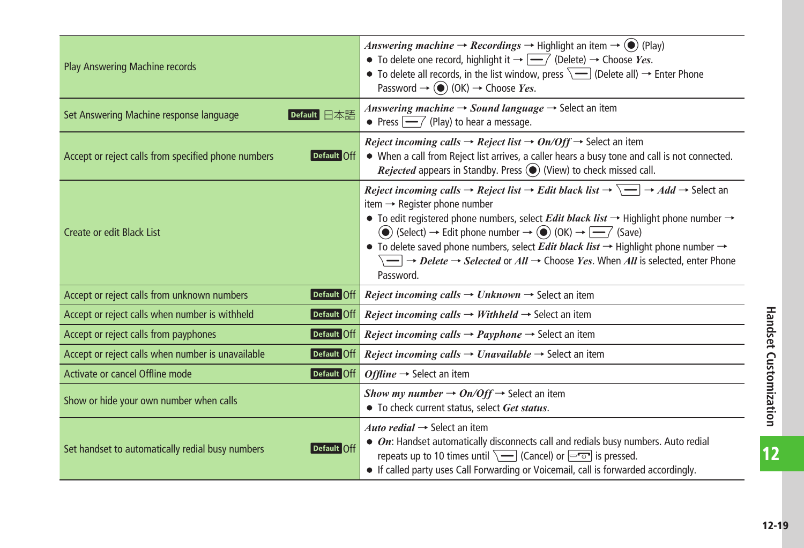| <b>Play Answering Machine records</b>                              | <i>Answering machine</i> $\rightarrow$ <i>Recordings</i> $\rightarrow$ Highlight an item $\rightarrow$ ( $\bullet$ ) (Play)<br>• To delete one record, highlight it $\rightarrow \boxed{-}$ (Delete) $\rightarrow$ Choose Yes.<br>• To delete all records, in the list window, press $\sqrt{-}$ (Delete all) $\rightarrow$ Enter Phone<br>Password $\rightarrow$ (O) (OK) $\rightarrow$ Choose Yes.                                                                                                                                                                                                                                                                                                                                           |
|--------------------------------------------------------------------|-----------------------------------------------------------------------------------------------------------------------------------------------------------------------------------------------------------------------------------------------------------------------------------------------------------------------------------------------------------------------------------------------------------------------------------------------------------------------------------------------------------------------------------------------------------------------------------------------------------------------------------------------------------------------------------------------------------------------------------------------|
| Set Answering Machine response language<br>Default 日本語             | Answering machine $\rightarrow$ Sound language $\rightarrow$ Select an item<br>• Press $ \text{---}\rangle$ (Play) to hear a message.                                                                                                                                                                                                                                                                                                                                                                                                                                                                                                                                                                                                         |
| Accept or reject calls from specified phone numbers<br>Default Off | <i>Reject incoming calls <math>\rightarrow</math> Reject list <math>\rightarrow</math> On/Off <math>\rightarrow</math> Select an item</i><br>• When a call from Reject list arrives, a caller hears a busy tone and call is not connected.<br><i>Rejected</i> appears in Standby. Press $\bigodot$ (View) to check missed call.                                                                                                                                                                                                                                                                                                                                                                                                               |
| <b>Create or edit Black List</b>                                   | <i>Reject incoming calls <math>\rightarrow</math> Reject list <math>\rightarrow</math> Edit black list <math>\rightarrow \Box \rightarrow</math> Add <math>\rightarrow</math> Select an</i><br>item $\rightarrow$ Register phone number<br>• To edit registered phone numbers, select <i>Edit black list</i> $\rightarrow$ Highlight phone number $\rightarrow$<br>◯ (Select) → Edit phone number → ◯ (OK) → $\boxed{\phantom{1}}$ (Save)<br>• To delete saved phone numbers, select <i>Edit black list</i> $\rightarrow$ Highlight phone number $\rightarrow$<br>$\overline{\phantom{m}}\longrightarrow$ <i>Delete</i> $\rightarrow$ <i>Selected</i> or $All \rightarrow$ Choose <i>Yes</i> . When All is selected, enter Phone<br>Password. |
| Accept or reject calls from unknown numbers<br>Default Off         | <i>Reject incoming calls <math>\rightarrow</math> Unknown <math>\rightarrow</math> Select an item</i>                                                                                                                                                                                                                                                                                                                                                                                                                                                                                                                                                                                                                                         |
| Accept or reject calls when number is withheld<br>Default Off      | <i>Reject incoming calls <math>\rightarrow</math> Withheld <math>\rightarrow</math> Select an item</i>                                                                                                                                                                                                                                                                                                                                                                                                                                                                                                                                                                                                                                        |
| Accept or reject calls from payphones<br>Default Off               | <i>Reject incoming calls <math>\rightarrow</math> Payphone</i> $\rightarrow$ Select an item                                                                                                                                                                                                                                                                                                                                                                                                                                                                                                                                                                                                                                                   |
| Accept or reject calls when number is unavailable<br>Default Off   | <i>Reject incoming calls <math>\rightarrow</math> Unavailable</i> $\rightarrow$ Select an item                                                                                                                                                                                                                                                                                                                                                                                                                                                                                                                                                                                                                                                |
| Activate or cancel Offline mode<br>Default Off                     | Offline $\rightarrow$ Select an item                                                                                                                                                                                                                                                                                                                                                                                                                                                                                                                                                                                                                                                                                                          |
| Show or hide your own number when calls                            | Show my number $\rightarrow$ On/Off $\rightarrow$ Select an item<br>• To check current status, select Get status,                                                                                                                                                                                                                                                                                                                                                                                                                                                                                                                                                                                                                             |
| Set handset to automatically redial busy numbers<br>Default Off    | Auto redial $\rightarrow$ Select an item<br>$\bullet$ On: Handset automatically disconnects call and redials busy numbers. Auto redial<br>repeats up to 10 times until $\overline{\setminus}$ (Cancel) or $\overline{\setminus}$ is pressed.<br>• If called party uses Call Forwarding or Voicemail, call is forwarded accordingly.                                                                                                                                                                                                                                                                                                                                                                                                           |

 $\overline{12}$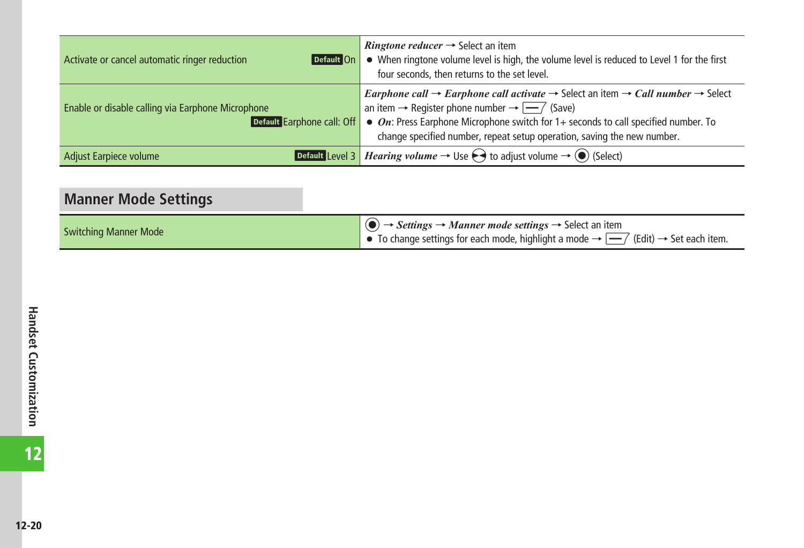<span id="page-19-0"></span>

| Activate or cancel automatic ringer reduction<br>Default On                     | <i>Ringtone reducer</i> $\rightarrow$ Select an item<br>• When ringtone volume level is high, the volume level is reduced to Level 1 for the first<br>four seconds, then returns to the set level.                                                                                                                                                                                                          |
|---------------------------------------------------------------------------------|-------------------------------------------------------------------------------------------------------------------------------------------------------------------------------------------------------------------------------------------------------------------------------------------------------------------------------------------------------------------------------------------------------------|
| Enable or disable calling via Earphone Microphone<br>Default Earphone call: Off | <i>Earphone call</i> $\rightarrow$ <i>Earphone call activate</i> $\rightarrow$ Select an item $\rightarrow$ <i>Call number</i> $\rightarrow$ Select<br>an item $\rightarrow$ Register phone number $\rightarrow \boxed{-7}$ (Save)<br>$\bullet$ On: Press Earphone Microphone switch for 1+ seconds to call specified number. To<br>change specified number, repeat setup operation, saving the new number. |
| Adjust Earpiece volume                                                          | <b>Default Level 3</b> <i>Hearing volume</i> $\rightarrow$ Use $\ominus$ to adjust volume $\rightarrow$ ( $\circ$ ) (Select)                                                                                                                                                                                                                                                                                |

| <b>Manner Mode Settings</b>  |                                                                                                                                                                                                                                                                                       |
|------------------------------|---------------------------------------------------------------------------------------------------------------------------------------------------------------------------------------------------------------------------------------------------------------------------------------|
| <b>Switching Manner Mode</b> | $\langle \bullet \rangle \rightarrow$ <i>Settings</i> $\rightarrow$ <i>Manner mode settings</i> $\rightarrow$ Select an item<br>$\blacktriangleright$ To change settings for each mode, highlight a mode $\rightarrow \sqrt{\blacktriangleright}$ (Edit) $\rightarrow$ Set each item. |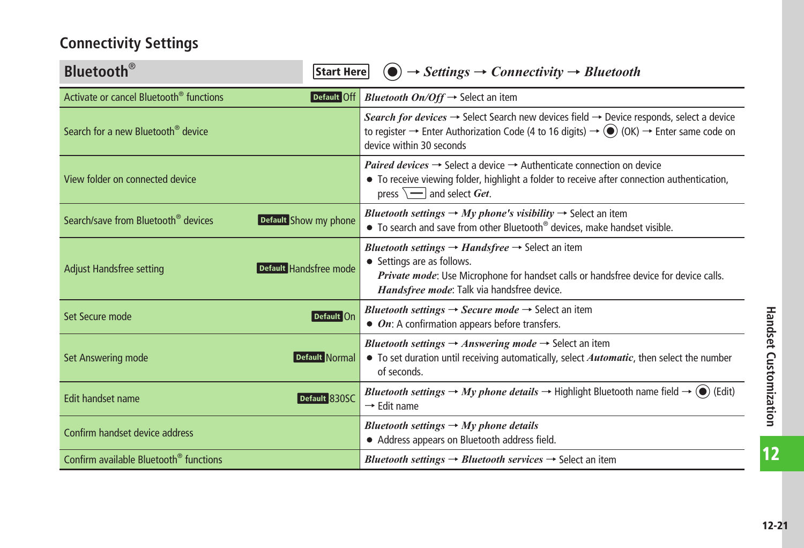# <span id="page-20-0"></span>**Connectivity Settings**

| <b>Bluetooth</b> <sup>®</sup><br>Start Here                              | $\rightarrow$ Settings $\rightarrow$ Connectivity $\rightarrow$ Bluetooth                                                                                                                                                                                                            |
|--------------------------------------------------------------------------|--------------------------------------------------------------------------------------------------------------------------------------------------------------------------------------------------------------------------------------------------------------------------------------|
| Activate or cancel Bluetooth <sup>®</sup> functions<br>Default Off       | <i>Bluetooth On/Off</i> $\rightarrow$ Select an item                                                                                                                                                                                                                                 |
| Search for a new Bluetooth <sup>®</sup> device                           | Search for devices $\rightarrow$ Select Search new devices field $\rightarrow$ Device responds, select a device<br>to register $\rightarrow$ Enter Authorization Code (4 to 16 digits) $\rightarrow$ ( $\bullet$ ) (OK) $\rightarrow$ Enter same code on<br>device within 30 seconds |
| View folder on connected device                                          | <i>Paired devices</i> $\rightarrow$ Select a device $\rightarrow$ Authenticate connection on device<br>• To receive viewing folder, highlight a folder to receive after connection authentication,<br>press $\sqrt{\phantom{a}}$ and select Get.                                     |
| Search/save from Bluetooth <sup>®</sup> devices<br>Default Show my phone | <i>Bluetooth settings</i> $\rightarrow$ <i>My phone's visibility</i> $\rightarrow$ Select an item<br>• To search and save from other Bluetooth <sup>®</sup> devices, make handset visible.                                                                                           |
| Default Handsfree mode<br><b>Adjust Handsfree setting</b>                | <i>Bluetooth settings</i> $\rightarrow$ <i>Handsfree</i> $\rightarrow$ Select an item<br>• Settings are as follows.<br>Private mode: Use Microphone for handset calls or handsfree device for device calls.<br>Handsfree mode: Talk via handsfree device.                            |
| Default On<br>Set Secure mode                                            | <i>Bluetooth settings</i> $\rightarrow$ <i>Secure mode</i> $\rightarrow$ Select an item<br>• On: A confirmation appears before transfers.                                                                                                                                            |
| <b>Set Answering mode</b><br>Default Normal                              | <i>Bluetooth settings</i> $\rightarrow$ <i>Answering mode</i> $\rightarrow$ Select an item<br>• To set duration until receiving automatically, select <i>Automatic</i> , then select the number<br>of seconds.                                                                       |
| Edit handset name<br>Default 830SC                                       | <i>Bluetooth settings</i> $\rightarrow$ <i>My phone details</i> $\rightarrow$ Highlight Bluetooth name field $\rightarrow$ ( $\rightarrow$ ) (Edit)<br>$\rightarrow$ Edit name                                                                                                       |
| Confirm handset device address                                           | Bluetooth settings $\rightarrow$ My phone details<br>• Address appears on Bluetooth address field.                                                                                                                                                                                   |
| Confirm available Bluetooth <sup>®</sup> functions                       | <i>Bluetooth settings</i> $\rightarrow$ <i>Bluetooth services</i> $\rightarrow$ Select an item                                                                                                                                                                                       |